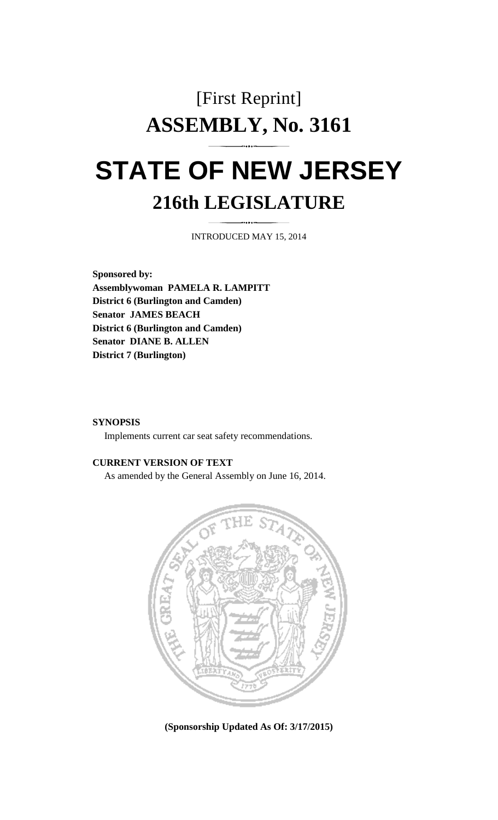# [First Reprint] **ASSEMBLY, No. 3161 STATE OF NEW JERSEY**

# **216th LEGISLATURE**

INTRODUCED MAY 15, 2014

**Sponsored by: Assemblywoman PAMELA R. LAMPITT District 6 (Burlington and Camden) Senator JAMES BEACH District 6 (Burlington and Camden) Senator DIANE B. ALLEN District 7 (Burlington)** 

#### **SYNOPSIS**

Implements current car seat safety recommendations.

## **CURRENT VERSION OF TEXT**

As amended by the General Assembly on June 16, 2014.



**(Sponsorship Updated As Of: 3/17/2015)**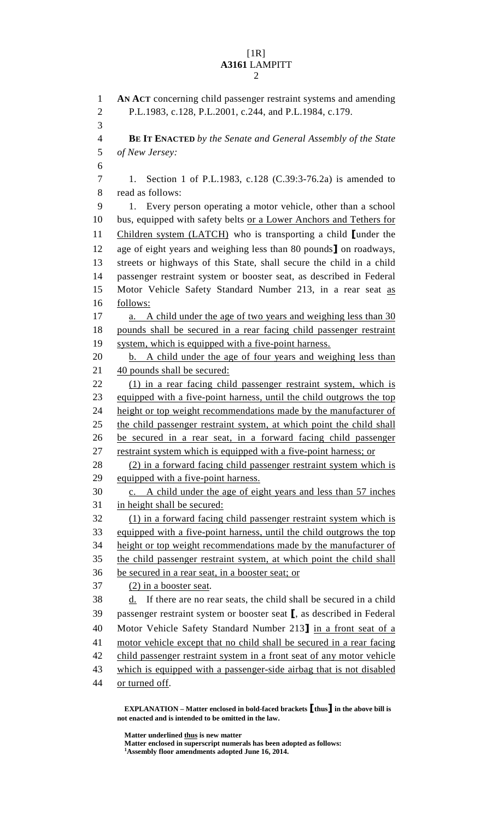## $[1R]$ **A3161** LAMPITT 2

1 **AN ACT** concerning child passenger restraint systems and amending 2 P.L.1983, c.128, P.L.2001, c.244, and P.L.1984, c.179. 3 4 **BE IT ENACTED** *by the Senate and General Assembly of the State*  5 *of New Jersey:* 6 7 1. Section 1 of P.L.1983, c.128 (C.39:3-76.2a) is amended to 8 read as follows: 9 1. Every person operating a motor vehicle, other than a school 10 bus, equipped with safety belts or a Lower Anchors and Tethers for 11 Children system (LATCH) who is transporting a child [under the 12 age of eight years and weighing less than 80 pounds] on roadways, 13 streets or highways of this State, shall secure the child in a child 14 passenger restraint system or booster seat, as described in Federal 15 Motor Vehicle Safety Standard Number 213, in a rear seat as 16 follows: 17 a. A child under the age of two years and weighing less than 30 18 pounds shall be secured in a rear facing child passenger restraint 19 system, which is equipped with a five-point harness. 20 b. A child under the age of four years and weighing less than 21 40 pounds shall be secured: 22 (1) in a rear facing child passenger restraint system, which is 23 equipped with a five-point harness, until the child outgrows the top 24 height or top weight recommendations made by the manufacturer of 25 the child passenger restraint system, at which point the child shall 26 be secured in a rear seat, in a forward facing child passenger 27 restraint system which is equipped with a five-point harness; or 28 (2) in a forward facing child passenger restraint system which is 29 equipped with a five-point harness. 30 c. A child under the age of eight years and less than 57 inches 31 in height shall be secured: 32 (1) in a forward facing child passenger restraint system which is 33 equipped with a five-point harness, until the child outgrows the top 34 height or top weight recommendations made by the manufacturer of 35 the child passenger restraint system, at which point the child shall 36 be secured in a rear seat, in a booster seat; or 37 (2) in a booster seat.  $38$  d. If there are no rear seats, the child shall be secured in a child 39 passenger restraint system or booster seat [, as described in Federal 40 Motor Vehicle Safety Standard Number 213] in a front seat of a 41 motor vehicle except that no child shall be secured in a rear facing 42 child passenger restraint system in a front seat of any motor vehicle 43 which is equipped with a passenger-side airbag that is not disabled 44 or turned off.

 **EXPLANATION – Matter enclosed in bold-faced brackets** [**thus**] **in the above bill is not enacted and is intended to be omitted in the law.** 

 **Matter underlined thus is new matter** 

Matter enclosed in superscript numerals has been adopted as follows:

**Assembly floor amendments adopted June 16, 2014.**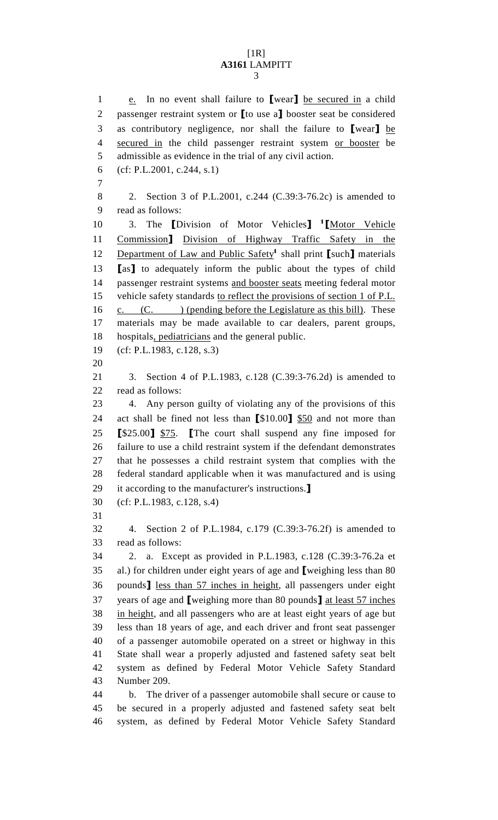#### [1R] **A3161** LAMPITT 3

1 e. In no event shall failure to [wear] be secured in a child 2 passenger restraint system or **[to use a]** booster seat be considered 3 as contributory negligence, nor shall the failure to [wear] be 4 secured in the child passenger restraint system or booster be 5 admissible as evidence in the trial of any civil action. 6 (cf: P.L.2001, c.244, s.1) 7 8 2. Section 3 of P.L.2001, c.244 (C.39:3-76.2c) is amended to 9 read as follows: 10 3. The *Division of Motor Vehicles*<sup>1</sup> *I*Motor Vehicle 11 Commission] Division of Highway Traffic Safety in the 12 Department of Law and Public Safety<sup>1</sup> shall print [such] materials 13 [as] to adequately inform the public about the types of child 14 passenger restraint systems and booster seats meeting federal motor 15 vehicle safety standards to reflect the provisions of section 1 of P.L. 16 c.  $(C.$  ) (pending before the Legislature as this bill). These 17 materials may be made available to car dealers, parent groups, 18 hospitals, pediatricians and the general public. 19 (cf: P.L.1983, c.128, s.3) 20 21 3. Section 4 of P.L.1983, c.128 (C.39:3-76.2d) is amended to 22 read as follows: 23 4. Any person guilty of violating any of the provisions of this 24 act shall be fined not less than [\$10.00] \$50 and not more than 25 [\$25.00] \$75. [The court shall suspend any fine imposed for 26 failure to use a child restraint system if the defendant demonstrates 27 that he possesses a child restraint system that complies with the 28 federal standard applicable when it was manufactured and is using 29 it according to the manufacturer's instructions.] 30 (cf: P.L.1983, c.128, s.4) 31 32 4. Section 2 of P.L.1984, c.179 (C.39:3-76.2f) is amended to 33 read as follows: 34 2. a. Except as provided in P.L.1983, c.128 (C.39:3-76.2a et 35 al.) for children under eight years of age and [weighing less than 80 36 pounds] less than 57 inches in height, all passengers under eight 37 years of age and **[**weighing more than 80 pounds**]** at least 57 inches 38 in height, and all passengers who are at least eight years of age but 39 less than 18 years of age, and each driver and front seat passenger 40 of a passenger automobile operated on a street or highway in this 41 State shall wear a properly adjusted and fastened safety seat belt 42 system as defined by Federal Motor Vehicle Safety Standard 43 Number 209. 44 b. The driver of a passenger automobile shall secure or cause to 45 be secured in a properly adjusted and fastened safety seat belt 46 system, as defined by Federal Motor Vehicle Safety Standard